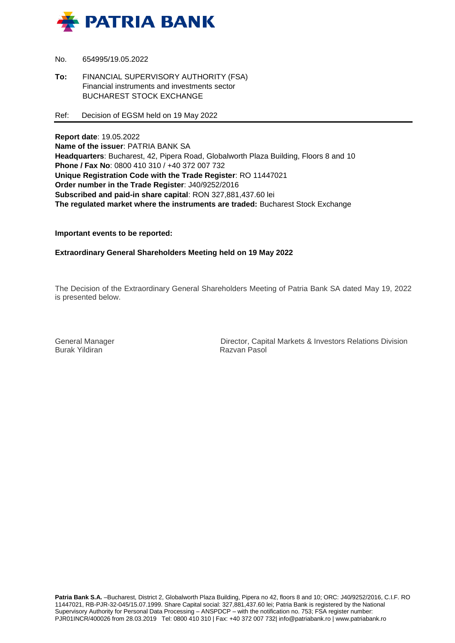

- No. 654995/19.05.2022
- **To:** FINANCIAL SUPERVISORY AUTHORITY (FSA) Financial instruments and investments sector BUCHAREST STOCK EXCHANGE
- Ref: Decision of EGSM held on 19 May 2022

**Report date**: 19.05.2022 **Name of the issuer**: PATRIA BANK SA **Headquarters**: Bucharest, 42, Pipera Road, Globalworth Plaza Building, Floors 8 and 10 **Phone / Fax No**: 0800 410 310 / +40 372 007 732 **Unique Registration Code with the Trade Register**: RO 11447021 **Order number in the Trade Register**: J40/9252/2016 **Subscribed and paid-in share capital**: RON 327,881,437.60 lei **The regulated market where the instruments are traded:** Bucharest Stock Exchange

**Important events to be reported:**

**Extraordinary General Shareholders Meeting held on 19 May 2022**

The Decision of the Extraordinary General Shareholders Meeting of Patria Bank SA dated May 19, 2022 is presented below.

Burak Yildiran

General Manager **Director, Capital Markets & Investors Relations Division**<br>Burak Yildiran **Director** Razyan Pasol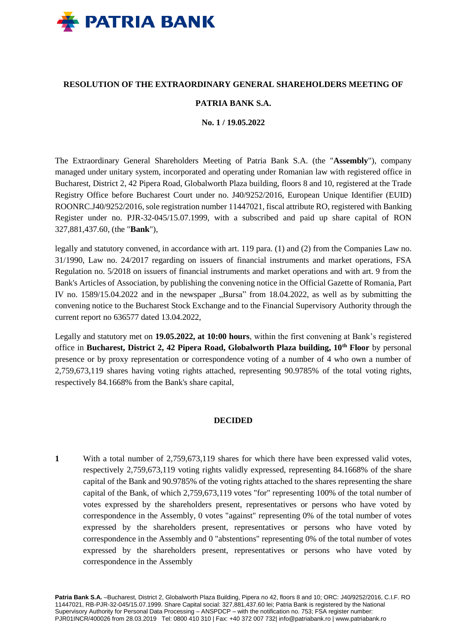

# **RESOLUTION OF THE EXTRAORDINARY GENERAL SHAREHOLDERS MEETING OF**

# **PATRIA BANK S.A.**

#### **No. 1 / 19.05.2022**

The Extraordinary General Shareholders Meeting of Patria Bank S.A. (the "**Assembly**"), company managed under unitary system, incorporated and operating under Romanian law with registered office in Bucharest, District 2, 42 Pipera Road, Globalworth Plaza building, floors 8 and 10, registered at the Trade Registry Office before Bucharest Court under no. J40/9252/2016, European Unique Identifier (EUID) ROONRC.J40/9252/2016, sole registration number 11447021, fiscal attribute RO, registered with Banking Register under no. PJR-32-045/15.07.1999, with a subscribed and paid up share capital of RON 327,881,437.60, (the "**Bank**"),

legally and statutory convened, in accordance with art. 119 para. (1) and (2) from the Companies Law no. 31/1990, Law no. 24/2017 regarding on issuers of financial instruments and market operations, FSA Regulation no. 5/2018 on issuers of financial instruments and market operations and with art. 9 from the Bank's Articles of Association, by publishing the convening notice in the Official Gazette of Romania, Part IV no.  $1589/15.04.2022$  and in the newspaper  $\Omega$ Bursa" from 18.04.2022, as well as by submitting the convening notice to the Bucharest Stock Exchange and to the Financial Supervisory Authority through the current report no 636577 dated 13.04.2022,

Legally and statutory met on **19.05.2022, at 10:00 hours**, within the first convening at Bank's registered office in **Bucharest, District 2, 42 Pipera Road, Globalworth Plaza building, 10th Floor** by personal presence or by proxy representation or correspondence voting of a number of 4 who own a number of 2,759,673,119 shares having voting rights attached, representing 90.9785% of the total voting rights, respectively 84.1668% from the Bank's share capital,

#### **DECIDED**

**1** With a total number of 2,759,673,119 shares for which there have been expressed valid votes, respectively 2,759,673,119 voting rights validly expressed, representing 84.1668% of the share capital of the Bank and 90.9785% of the voting rights attached to the shares representing the share capital of the Bank, of which 2,759,673,119 votes "for" representing 100% of the total number of votes expressed by the shareholders present, representatives or persons who have voted by correspondence in the Assembly, 0 votes "against" representing 0% of the total number of votes expressed by the shareholders present, representatives or persons who have voted by correspondence in the Assembly and 0 "abstentions" representing 0% of the total number of votes expressed by the shareholders present, representatives or persons who have voted by correspondence in the Assembly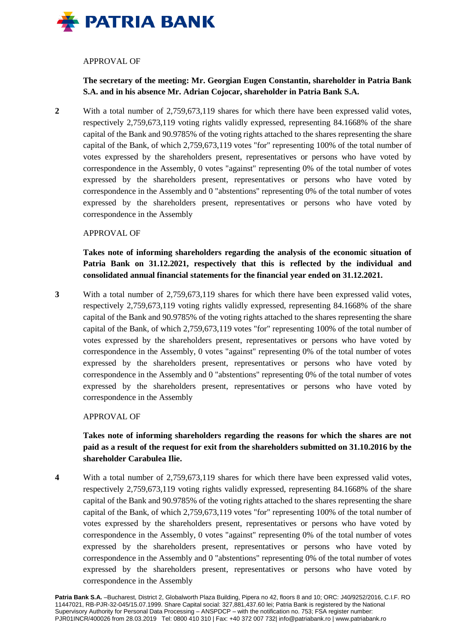

# APPROVAL OF

**The secretary of the meeting: Mr. Georgian Eugen Constantin, shareholder in Patria Bank S.A. and in his absence Mr. Adrian Cojocar, shareholder in Patria Bank S.A.**

**2** With a total number of 2,759,673,119 shares for which there have been expressed valid votes, respectively 2,759,673,119 voting rights validly expressed, representing 84.1668% of the share capital of the Bank and 90.9785% of the voting rights attached to the shares representing the share capital of the Bank, of which 2,759,673,119 votes "for" representing 100% of the total number of votes expressed by the shareholders present, representatives or persons who have voted by correspondence in the Assembly, 0 votes "against" representing 0% of the total number of votes expressed by the shareholders present, representatives or persons who have voted by correspondence in the Assembly and 0 "abstentions" representing 0% of the total number of votes expressed by the shareholders present, representatives or persons who have voted by correspondence in the Assembly

# APPROVAL OF

**Takes note of informing shareholders regarding the analysis of the economic situation of Patria Bank on 31.12.2021, respectively that this is reflected by the individual and consolidated annual financial statements for the financial year ended on 31.12.2021.**

**3** With a total number of 2,759,673,119 shares for which there have been expressed valid votes, respectively 2,759,673,119 voting rights validly expressed, representing 84.1668% of the share capital of the Bank and 90.9785% of the voting rights attached to the shares representing the share capital of the Bank, of which 2,759,673,119 votes "for" representing 100% of the total number of votes expressed by the shareholders present, representatives or persons who have voted by correspondence in the Assembly, 0 votes "against" representing 0% of the total number of votes expressed by the shareholders present, representatives or persons who have voted by correspondence in the Assembly and 0 "abstentions" representing 0% of the total number of votes expressed by the shareholders present, representatives or persons who have voted by correspondence in the Assembly

## APPROVAL OF

# **Takes note of informing shareholders regarding the reasons for which the shares are not paid as a result of the request for exit from the shareholders submitted on 31.10.2016 by the shareholder Carabulea Ilie.**

**4** With a total number of 2,759,673,119 shares for which there have been expressed valid votes, respectively 2,759,673,119 voting rights validly expressed, representing 84.1668% of the share capital of the Bank and 90.9785% of the voting rights attached to the shares representing the share capital of the Bank, of which 2,759,673,119 votes "for" representing 100% of the total number of votes expressed by the shareholders present, representatives or persons who have voted by correspondence in the Assembly, 0 votes "against" representing 0% of the total number of votes expressed by the shareholders present, representatives or persons who have voted by correspondence in the Assembly and 0 "abstentions" representing 0% of the total number of votes expressed by the shareholders present, representatives or persons who have voted by correspondence in the Assembly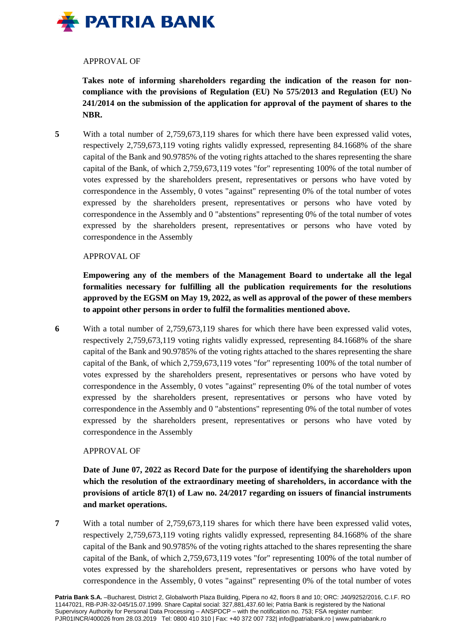

## APPROVAL OF

**Takes note of informing shareholders regarding the indication of the reason for noncompliance with the provisions of Regulation (EU) No 575/2013 and Regulation (EU) No 241/2014 on the submission of the application for approval of the payment of shares to the NBR.**

**5** With a total number of 2,759,673,119 shares for which there have been expressed valid votes, respectively 2,759,673,119 voting rights validly expressed, representing 84.1668% of the share capital of the Bank and 90.9785% of the voting rights attached to the shares representing the share capital of the Bank, of which 2,759,673,119 votes "for" representing 100% of the total number of votes expressed by the shareholders present, representatives or persons who have voted by correspondence in the Assembly, 0 votes "against" representing 0% of the total number of votes expressed by the shareholders present, representatives or persons who have voted by correspondence in the Assembly and 0 "abstentions" representing 0% of the total number of votes expressed by the shareholders present, representatives or persons who have voted by correspondence in the Assembly

# APPROVAL OF

**Empowering any of the members of the Management Board to undertake all the legal formalities necessary for fulfilling all the publication requirements for the resolutions approved by the EGSM on May 19, 2022, as well as approval of the power of these members to appoint other persons in order to fulfil the formalities mentioned above.**

**6** With a total number of 2,759,673,119 shares for which there have been expressed valid votes, respectively 2,759,673,119 voting rights validly expressed, representing 84.1668% of the share capital of the Bank and 90.9785% of the voting rights attached to the shares representing the share capital of the Bank, of which 2,759,673,119 votes "for" representing 100% of the total number of votes expressed by the shareholders present, representatives or persons who have voted by correspondence in the Assembly, 0 votes "against" representing 0% of the total number of votes expressed by the shareholders present, representatives or persons who have voted by correspondence in the Assembly and 0 "abstentions" representing 0% of the total number of votes expressed by the shareholders present, representatives or persons who have voted by correspondence in the Assembly

## APPROVAL OF

**Date of June 07, 2022 as Record Date for the purpose of identifying the shareholders upon which the resolution of the extraordinary meeting of shareholders, in accordance with the provisions of article 87(1) of Law no. 24/2017 regarding on issuers of financial instruments and market operations.**

**7** With a total number of 2,759,673,119 shares for which there have been expressed valid votes, respectively 2,759,673,119 voting rights validly expressed, representing 84.1668% of the share capital of the Bank and 90.9785% of the voting rights attached to the shares representing the share capital of the Bank, of which 2,759,673,119 votes "for" representing 100% of the total number of votes expressed by the shareholders present, representatives or persons who have voted by correspondence in the Assembly, 0 votes "against" representing 0% of the total number of votes